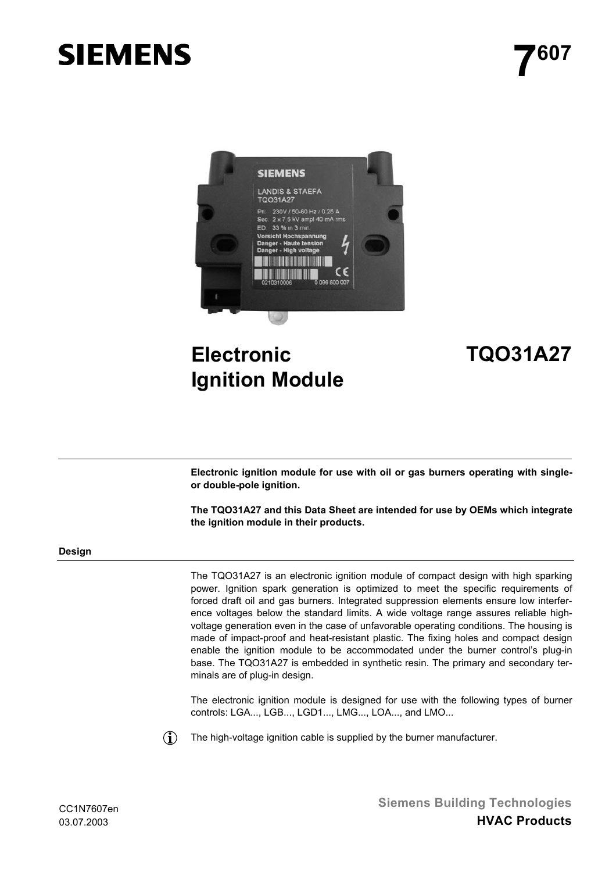# **SIEMENS**



## **Electronic Ignition Module**

### **TQO31A27**

**Electronic ignition module for use with oil or gas burners operating with singleor double-pole ignition.**

**The TQO31A27 and this Data Sheet are intended for use by OEMs which integrate the ignition module in their products.**

#### **Design**

The TQO31A27 is an electronic ignition module of compact design with high sparking power. Ignition spark generation is optimized to meet the specific requirements of forced draft oil and gas burners. Integrated suppression elements ensure low interference voltages below the standard limits. A wide voltage range assures reliable highvoltage generation even in the case of unfavorable operating conditions. The housing is made of impact-proof and heat-resistant plastic. The fixing holes and compact design enable the ignition module to be accommodated under the burner control's plug-in base. The TQO31A27 is embedded in synthetic resin. The primary and secondary terminals are of plug-in design.

The electronic ignition module is designed for use with the following types of burner controls: LGA..., LGB..., LGD1..., LMG..., LOA..., and LMO...



The high-voltage ignition cable is supplied by the burner manufacturer.

**Siemens Building Technologies HVAC Products**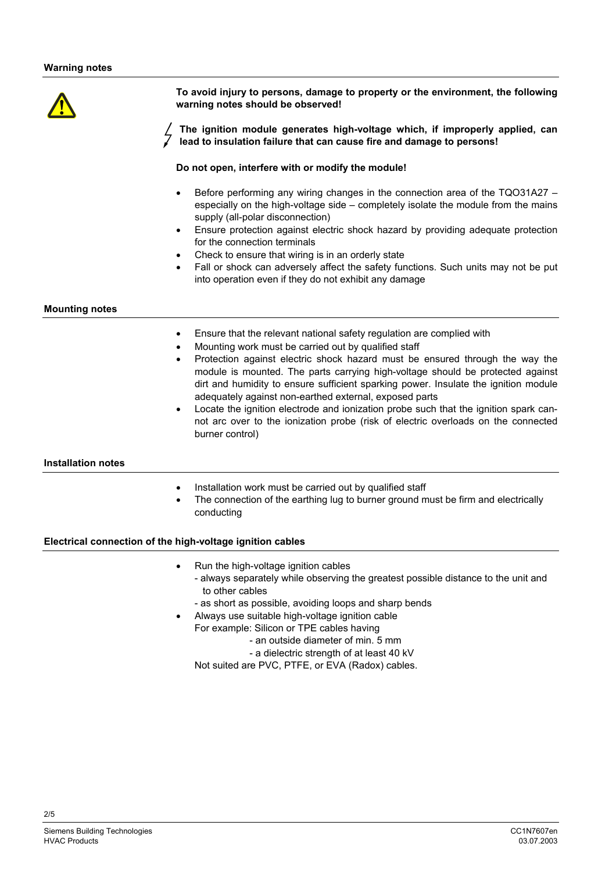**To avoid injury to persons, damage to property or the environment, the following warning notes should be observed!**

**The ignition module generates high-voltage which, if improperly applied, can lead to insulation failure that can cause fire and damage to persons!**

#### **Do not open, interfere with or modify the module!**

- Before performing any wiring changes in the connection area of the TQO31A27 especially on the high-voltage side – completely isolate the module from the mains supply (all-polar disconnection)
- Ensure protection against electric shock hazard by providing adequate protection for the connection terminals
- Check to ensure that wiring is in an orderly state
- Fall or shock can adversely affect the safety functions. Such units may not be put into operation even if they do not exhibit any damage

#### **Mounting notes**

- Ensure that the relevant national safety regulation are complied with
- Mounting work must be carried out by qualified staff
- Protection against electric shock hazard must be ensured through the way the module is mounted. The parts carrying high-voltage should be protected against dirt and humidity to ensure sufficient sparking power. Insulate the ignition module adequately against non-earthed external, exposed parts
- Locate the ignition electrode and ionization probe such that the ignition spark cannot arc over to the ionization probe (risk of electric overloads on the connected burner control)

#### **Installation notes**

- Installation work must be carried out by qualified staff
- The connection of the earthing lug to burner ground must be firm and electrically conducting

#### **Electrical connection of the high-voltage ignition cables**

- Run the high-voltage ignition cables - always separately while observing the greatest possible distance to the unit and to other cables
	- as short as possible, avoiding loops and sharp bends
- Always use suitable high-voltage ignition cable
	- For example: Silicon or TPE cables having
		- an outside diameter of min. 5 mm - a dielectric strength of at least 40 kV
	- Not suited are PVC, PTFE, or EVA (Radox) cables.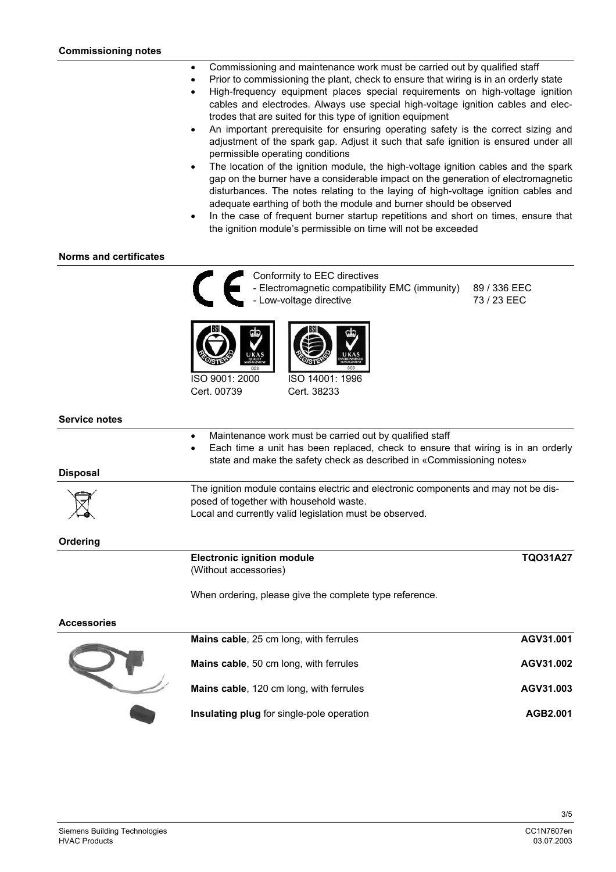- Commissioning and maintenance work must be carried out by qualified staff
- Prior to commissioning the plant, check to ensure that wiring is in an orderly state
	- High-frequency equipment places special requirements on high-voltage ignition cables and electrodes. Always use special high-voltage ignition cables and electrodes that are suited for this type of ignition equipment
	- An important prerequisite for ensuring operating safety is the correct sizing and adjustment of the spark gap. Adjust it such that safe ignition is ensured under all permissible operating conditions
	- The location of the ignition module, the high-voltage ignition cables and the spark gap on the burner have a considerable impact on the generation of electromagnetic disturbances. The notes relating to the laying of high-voltage ignition cables and adequate earthing of both the module and burner should be observed
	- In the case of frequent burner startup repetitions and short on times, ensure that the ignition module's permissible on time will not be exceeded

#### **Norms and certificates**



Conformity to EEC directives - Electromagnetic compatibility EMC (immunity) 89 / 336 EEC - Low-voltage directive 73 / 23 EEC



Cert. 00739



Cert. 38233

#### **Service notes**

**Disposal**

**Ordering**

| <b>TQO31A27</b><br><b>Electronic ignition module</b><br>(Without accessories)                                                                                                                                                     |
|-----------------------------------------------------------------------------------------------------------------------------------------------------------------------------------------------------------------------------------|
|                                                                                                                                                                                                                                   |
| The ignition module contains electric and electronic components and may not be dis-<br>posed of together with household waste.<br>Local and currently valid legislation must be observed.                                         |
| Maintenance work must be carried out by qualified staff<br>Each time a unit has been replaced, check to ensure that wiring is in an orderly<br>$\bullet$<br>state and make the safety check as described in «Commissioning notes» |

When ordering, please give the complete type reference.

#### **Accessories**

| Mains cable, 25 cm long, with ferrules    | AGV31.001 |
|-------------------------------------------|-----------|
| Mains cable, 50 cm long, with ferrules    | AGV31.002 |
| Mains cable, 120 cm long, with ferrules   | AGV31.003 |
| Insulating plug for single-pole operation | AGB2.001  |

3/5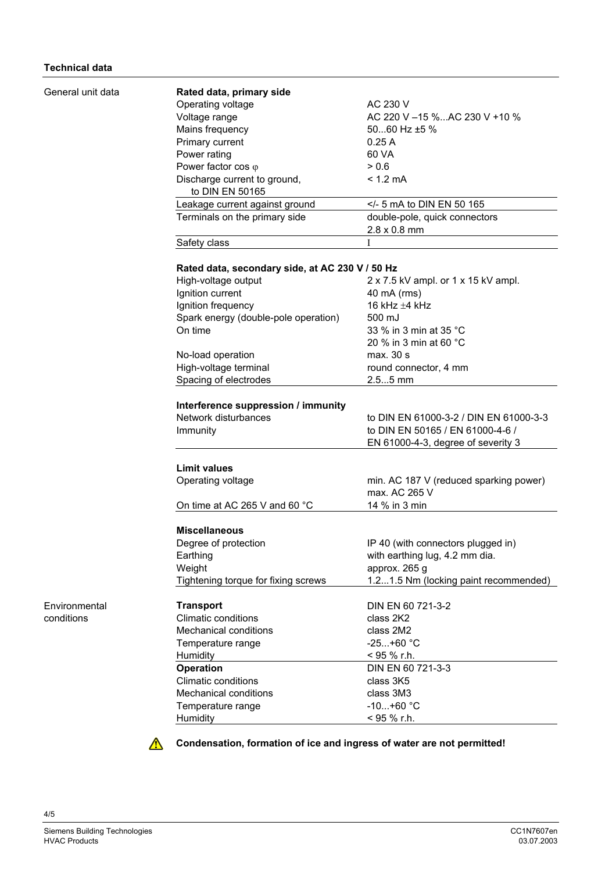| General unit data | Rated data, primary side                        |                                        |
|-------------------|-------------------------------------------------|----------------------------------------|
|                   | Operating voltage                               | AC 230 V                               |
|                   | Voltage range                                   | AC 220 V -15 %AC 230 V +10 %           |
|                   | Mains frequency                                 | 5060 Hz $\pm$ 5 %                      |
|                   | Primary current                                 | 0.25A                                  |
|                   | Power rating                                    | 60 VA                                  |
|                   | Power factor cos $\varphi$                      | > 0.6                                  |
|                   |                                                 |                                        |
|                   | Discharge current to ground,<br>to DIN EN 50165 | $< 1.2$ mA                             |
|                   | Leakage current against ground                  | - 5 mA to DIN EN 50 165</td            |
|                   | Terminals on the primary side                   | double-pole, quick connectors          |
|                   |                                                 | $2.8 \times 0.8$ mm                    |
|                   | Safety class                                    | Ι                                      |
|                   |                                                 |                                        |
|                   | Rated data, secondary side, at AC 230 V / 50 Hz |                                        |
|                   | High-voltage output                             | 2 x 7.5 kV ampl. or 1 x 15 kV ampl.    |
|                   | Ignition current                                | 40 mA (rms)                            |
|                   | Ignition frequency                              | 16 kHz $\pm$ 4 kHz                     |
|                   | Spark energy (double-pole operation)            | 500 mJ                                 |
|                   | On time                                         | 33 % in 3 min at 35 °C                 |
|                   |                                                 | 20 % in 3 min at 60 °C                 |
|                   | No-load operation                               | max. 30 s                              |
|                   | High-voltage terminal                           | round connector, 4 mm                  |
|                   | Spacing of electrodes                           | $2.55$ mm                              |
|                   |                                                 |                                        |
|                   | Interference suppression / immunity             |                                        |
|                   | Network disturbances                            | to DIN EN 61000-3-2 / DIN EN 61000-3-3 |
|                   | Immunity                                        | to DIN EN 50165 / EN 61000-4-6 /       |
|                   |                                                 | EN 61000-4-3, degree of severity 3     |
|                   | <b>Limit values</b>                             |                                        |
|                   |                                                 |                                        |
|                   | Operating voltage                               | min. AC 187 V (reduced sparking power) |
|                   |                                                 | max. AC 265 V                          |
|                   | On time at AC 265 V and 60 °C                   | 14 % in 3 min                          |
|                   | <b>Miscellaneous</b>                            |                                        |
|                   | Degree of protection                            | IP 40 (with connectors plugged in)     |
|                   | Earthing                                        | with earthing lug, 4.2 mm dia.         |
|                   | Weight                                          | approx. 265 g                          |
|                   | Tightening torque for fixing screws             | 1.21.5 Nm (locking paint recommended)  |
| Environmental     | <b>Transport</b>                                | DIN EN 60 721-3-2                      |
| conditions        | <b>Climatic conditions</b>                      | class 2K2                              |
|                   |                                                 |                                        |
|                   | <b>Mechanical conditions</b>                    | class 2M2                              |
|                   | Temperature range                               | $-25+60 °C$                            |
|                   | Humidity                                        | < 95 % r.h.                            |
|                   | <b>Operation</b>                                | DIN EN 60 721-3-3                      |
|                   | <b>Climatic conditions</b>                      | class 3K5                              |
|                   | <b>Mechanical conditions</b>                    | class 3M3                              |
|                   | Temperature range                               | $-10+60$ °C                            |
|                   | Humidity                                        | < 95 % r.h.                            |



**Condensation, formation of ice and ingress of water are not permitted!** 

4/5